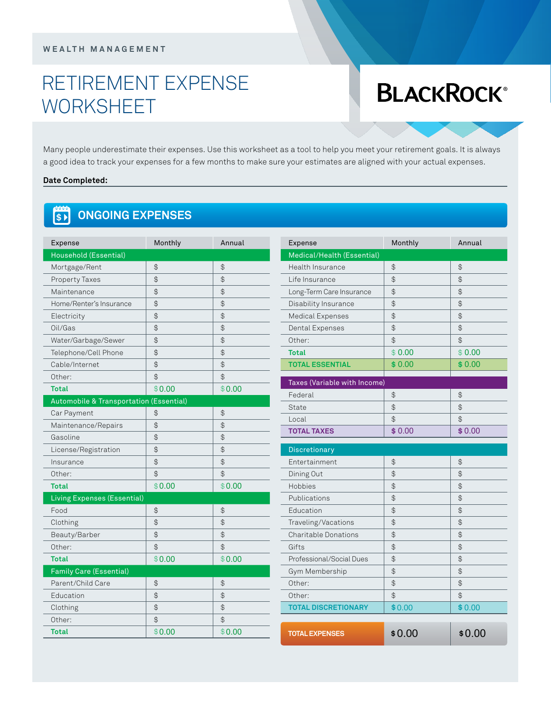#### **w ealt h m ana g e m ent**

# retirement expense **WORKSHEET**

# **BLACKROCK®**

Many people underestimate their expenses. Use this worksheet as a tool to help you meet your retirement goals. It is always a good idea to track your expenses for a few months to make sure your estimates are aligned with your actual expenses.

#### **Date Completed:**

#### $\begin{bmatrix} 0 & 0 \\ 0 & 1 \end{bmatrix}$ **ONGOING EXPENSES**

| Expense                                 | Monthly        | Annual         | E) |
|-----------------------------------------|----------------|----------------|----|
| Household (Essential)                   |                |                | M  |
| Mortgage/Rent                           | \$             | $\mathcal{L}$  | H۱ |
| Property Taxes                          | \$             | $\mathcal{L}$  | Li |
| Maintenance                             | $\mathfrak{P}$ | $\mathfrak{D}$ | Lc |
| Home/Renter's Insurance                 | \$             | $\mathfrak{D}$ | Di |
| Electricity                             | $\mathfrak{P}$ | $\frac{1}{2}$  | M  |
| Oil/Gas                                 | \$             | \$             | D۱ |
| Water/Garbage/Sewer                     | $\mathfrak{P}$ | $\frac{1}{2}$  | O  |
| Telephone/Cell Phone                    | $\mathfrak{P}$ | $\mathcal{L}$  | Τc |
| Cable/Internet                          | \$             | $\mathfrak{D}$ | T) |
| Other:                                  | \$             | \$             |    |
| <b>Total</b>                            | \$0.00         | \$0.00         | Τa |
| Automobile & Transportation (Essential) |                |                | F6 |
| Car Payment                             | \$             | $\mathfrak{D}$ | St |
| Maintenance/Repairs                     | $\mathfrak{P}$ | $\mathfrak{P}$ | Lc |
| Gasoline                                | $\mathfrak{P}$ | $\mathfrak{D}$ | T) |
| License/Registration                    | $\mathfrak{P}$ | $\frac{1}{2}$  | Di |
| Insurance                               | $\mathfrak{P}$ | $\frac{1}{2}$  | Er |
| Other:                                  | \$             | $\mathfrak{D}$ | Di |
| <b>Total</b>                            | \$0.00         | \$0.00         | H۱ |
| Living Expenses (Essential)             |                |                | Ρι |
| Food                                    | $\mathfrak{P}$ | $\mathfrak{P}$ | E  |
| Clothing                                | \$             | $\mathfrak{P}$ | Tr |
| Beauty/Barber                           | $\mathfrak{P}$ | \$             | Сł |
| Other:                                  | \$             | \$             | Gi |
| <b>Total</b>                            | \$0.00         | \$0.00         | Pr |
| <b>Family Care (Essential)</b>          |                |                | G١ |
| Parent/Child Care                       | $\mathfrak{P}$ | $\mathfrak{D}$ | O  |
| Education                               | $\mathfrak{P}$ | $\frac{1}{2}$  | O  |
| Clothing                                | $\mathfrak{P}$ | \$             | T) |
| Other:                                  | $\mathfrak{P}$ | $\mathfrak{D}$ |    |
| <b>Total</b>                            | \$0.00         | \$0.00         | т  |
|                                         |                |                |    |

| lonthly   | Annual         | Expense                      | Monthly                                       | Annual        |
|-----------|----------------|------------------------------|-----------------------------------------------|---------------|
|           |                | Medical/Health (Essential)   |                                               |               |
|           | $\frac{1}{2}$  | Health Insurance             | $\spadesuit$                                  | \$            |
|           | $\spadesuit$   | Life Insurance               | $\spadesuit$                                  | $\spadesuit$  |
|           | $\frac{1}{2}$  | Long-Term Care Insurance     | $\spadesuit$                                  | $\bigoplus$   |
|           | $\spadesuit$   | Disability Insurance         | $\, \, \oplus$                                | $\spadesuit$  |
|           | $\frac{1}{2}$  | Medical Expenses             | $\frac{1}{2}$                                 | $\frac{1}{2}$ |
|           | \$             | Dental Expenses              | $\frac{1}{2}$                                 | \$            |
|           | $\spadesuit$   | Other:                       | $\frac{1}{2}$                                 | $\bigoplus$   |
|           | \$             | <b>Total</b>                 | \$0.00                                        | \$0.00        |
|           | $\frac{1}{2}$  | <b>TOTAL ESSENTIAL</b>       | \$0.00                                        | \$0.00        |
|           | $\bigoplus$    |                              |                                               |               |
| 0.00      | \$0.00         | Taxes (Variable with Income) |                                               |               |
| ssential) |                | Federal                      | $\frac{1}{2}$                                 | $\bigoplus$   |
|           | $\spadesuit$   | State                        | $\frac{1}{2}$                                 | $\frac{1}{2}$ |
|           | $\frac{1}{2}$  | Local                        | $\frac{1}{2}$                                 | $\hat{\phi}$  |
|           | $\spadesuit$   | <b>TOTAL TAXES</b>           | \$0.00                                        | \$0.00        |
|           | $\frac{1}{2}$  | <b>Discretionary</b>         |                                               |               |
|           | $\mathfrak{P}$ | Entertainment                | $\frac{1}{2}$                                 | \$            |
|           | $\frac{1}{2}$  | Dining Out                   | $\spadesuit$                                  | $\frac{1}{2}$ |
| 0.00      | \$0.00         | Hobbies                      | $\, \, \raisebox{12pt}{$\scriptstyle \circ$}$ | \$            |
|           |                | Publications                 | $\frac{1}{2}$                                 | $\bigoplus$   |
|           | $\spadesuit$   | Education                    | $\, \, \oplus$                                | $\spadesuit$  |
|           | $\frac{1}{2}$  | Traveling/Vacations          | $\, \, \oplus$                                | $\bigoplus$   |
|           | $\frac{1}{2}$  | <b>Charitable Donations</b>  | $\frac{1}{2}$                                 | \$            |
|           | $\mathfrak{P}$ | Gifts                        | $\updownarrow$                                | $\spadesuit$  |
| 0.00      | \$0.00         | Professional/Social Dues     | $\spadesuit$                                  | $\bigoplus$   |
|           |                | Gym Membership               | $\spadesuit$                                  | $\spadesuit$  |
|           | $\spadesuit$   | Other:                       | $\bigoplus$                                   | $\bigoplus$   |
|           | $\bigoplus$    | Other:                       | \$                                            | \$            |
|           | $\spadesuit$   | <b>TOTAL DISCRETIONARY</b>   | \$0.00                                        | \$0.00        |
|           |                |                              |                                               |               |
|           | $\mathfrak{P}$ |                              |                                               |               |
| 0.00      | \$0.00         | <b>TOTAL EXPENSES</b>        | \$0.00                                        | \$0.00        |